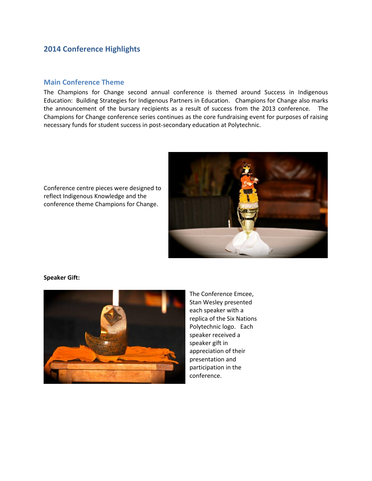# **2014 Conference Highlights**

## **Main Conference Theme**

The Champions for Change second annual conference is themed around Success in Indigenous Education: Building Strategies for Indigenous Partners in Education. Champions for Change also marks the announcement of the bursary recipients as a result of success from the 2013 conference. The Champions for Change conference series continues as the core fundraising event for purposes of raising necessary funds for student success in post-secondary education at Polytechnic.



Conference centre pieces were designed to reflect Indigenous Knowledge and the conference theme Champions for Change.

#### **Speaker Gift:**



The Conference Emcee, Stan Wesley presented each speaker with a replica of the Six Nations Polytechnic logo. Each speaker received a speaker gift in appreciation of their presentation and participation in the conference.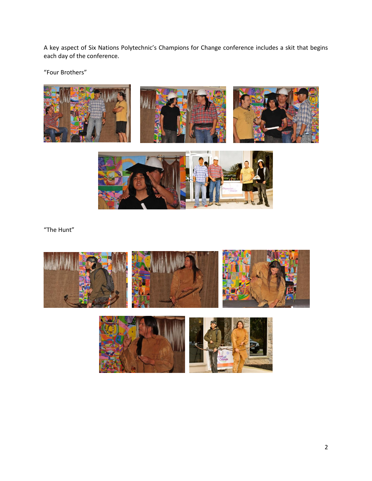A key aspect of Six Nations Polytechnic's Champions for Change conference includes a skit that begins each day of the conference.

"Four Brothers"





"The Hunt"



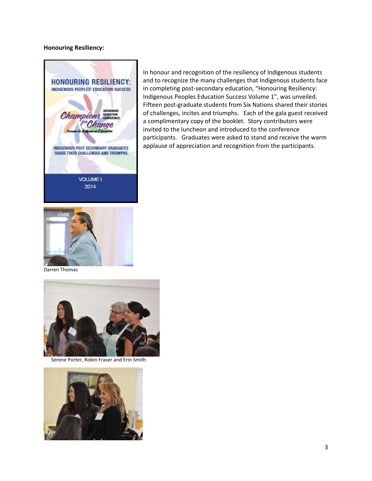#### **Honouring Resiliency:**



In honour and recognition of the resiliency of Indigenous students and to recognize the many challenges that Indigenous students face in completing post-secondary education, "Honouring Resiliency: Indigenous Peoples Education Success Volume 1", was unveiled. Fifteen post-graduate students from Six Nations shared their stories of challenges, incites and triumphs. Each of the gala guest received a complimentary copy of the booklet. Story contributors were invited to the luncheon and introduced to the conference participants. Graduates were asked to stand and receive the warm applause of appreciation and recognition from the participants.



Darren Thomas



Serene Porter, Robin Fraser and Erin Smith

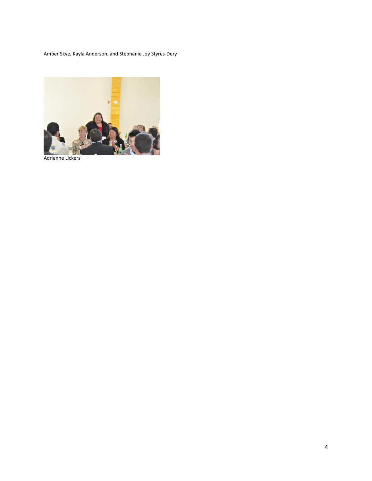Amber Skye, Kayla Anderson, and Stephanie Joy Styres-Dery



Adrienne Lickers